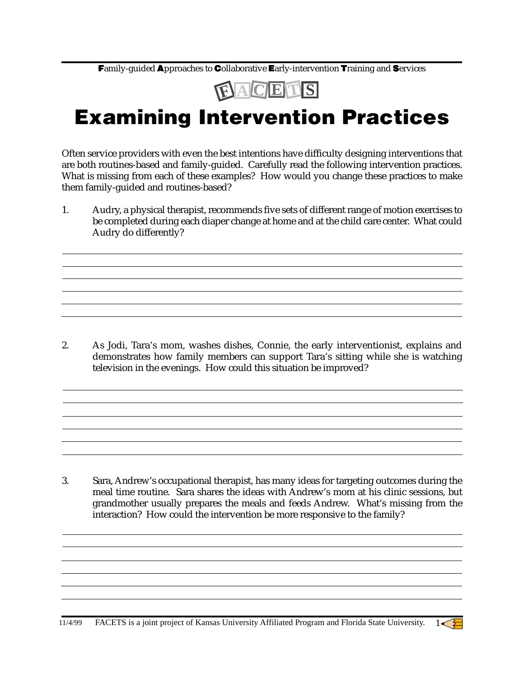Family-guided Approaches to Collaborative Early-intervention Training and Services



## Examining Intervention Practices

Often service providers with even the best intentions have difficulty designing interventions that are both routines-based and family-guided. Carefully read the following intervention practices. What is missing from each of these examples? How would you change these practices to make them family-guided and routines-based?

1. Audry, a physical therapist, recommends five sets of different range of motion exercises to be completed during each diaper change at home and at the child care center. What could Audry do differently?

2. As Jodi, Tara's mom, washes dishes, Connie, the early interventionist, explains and demonstrates how family members can support Tara's sitting while she is watching television in the evenings. How could this situation be improved?

3. Sara, Andrew's occupational therapist, has many ideas for targeting outcomes during the meal time routine. Sara shares the ideas with Andrew's mom at his clinic sessions, but grandmother usually prepares the meals and feeds Andrew. What's missing from the interaction? How could the intervention be more responsive to the family?